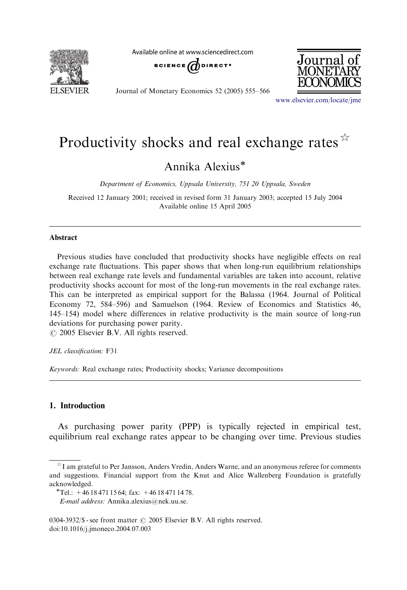

Available online at www.sciencedirect.com



Journal of Monetary Economics 52 (2005) 555–566



<www.elsevier.com/locate/jme>

# Productivity shocks and real exchange rates  $\hat{X}$

Annika Alexius

Department of Economics, Uppsala University, 751 20 Uppsala, Sweden

Received 12 January 2001; received in revised form 31 January 2003; accepted 15 July 2004 Available online 15 April 2005

### Abstract

Previous studies have concluded that productivity shocks have negligible effects on real exchange rate fluctuations. This paper shows that when long-run equilibrium relationships between real exchange rate levels and fundamental variables are taken into account, relative productivity shocks account for most of the long-run movements in the real exchange rates. This can be interpreted as empirical support for the Balassa (1964. Journal of Political Economy 72, 584–596) and Samuelson (1964. Review of Economics and Statistics 46, 145–154) model where differences in relative productivity is the main source of long-run deviations for purchasing power parity.

 $\odot$  2005 Elsevier B.V. All rights reserved.

#### JEL classification: F31

Keywords: Real exchange rates; Productivity shocks; Variance decompositions

## 1. Introduction

As purchasing power parity (PPP) is typically rejected in empirical test, equilibrium real exchange rates appear to be changing over time. Previous studies

 $\dot{\gamma}$ I am grateful to Per Jansson, Anders Vredin, Anders Warne, and an anonymous referee for comments and suggestions. Financial support from the Knut and Alice Wallenberg Foundation is gratefully acknowledged.<br>\*Tel.: +46 18 471 15 64; fax: +46 18 471 14 78.

E-mail address: Annika.alexius@nek.uu.se.

<sup>0304-3932/\$ -</sup> see front matter  $\odot$  2005 Elsevier B.V. All rights reserved. doi:10.1016/j.jmoneco.2004.07.003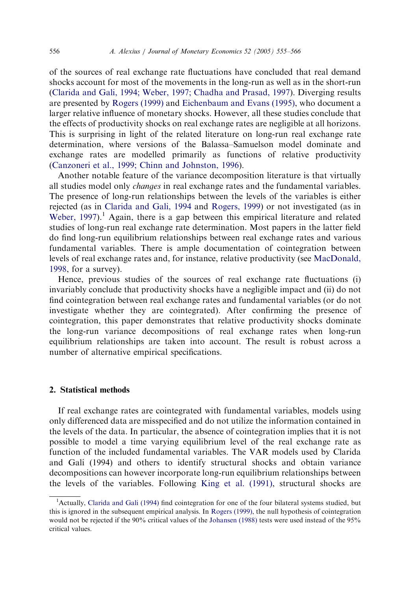of the sources of real exchange rate fluctuations have concluded that real demand shocks account for most of the movements in the long-run as well as in the short-run [\(Clarida and Gali, 1994; Weber, 1997; Chadha and Prasad, 1997\)](#page--1-0). Diverging results are presented by [Rogers \(1999\)](#page--1-0) and [Eichenbaum and Evans \(1995\)](#page--1-0), who document a larger relative influence of monetary shocks. However, all these studies conclude that the effects of productivity shocks on real exchange rates are negligible at all horizons. This is surprising in light of the related literature on long-run real exchange rate determination, where versions of the Balassa–Samuelson model dominate and exchange rates are modelled primarily as functions of relative productivity [\(Canzoneri et al., 1999; Chinn and Johnston, 1996\)](#page--1-0).

Another notable feature of the variance decomposition literature is that virtually all studies model only *changes* in real exchange rates and the fundamental variables. The presence of long-run relationships between the levels of the variables is either rejected (as in [Clarida and Gali, 1994](#page--1-0) and [Rogers, 1999\)](#page--1-0) or not investigated (as in Weber,  $1997$ .<sup>1</sup> Again, there is a gap between this empirical literature and related studies of long-run real exchange rate determination. Most papers in the latter field do find long-run equilibrium relationships between real exchange rates and various fundamental variables. There is ample documentation of cointegration between levels of real exchange rates and, for instance, relative productivity (see [MacDonald,](#page--1-0) [1998,](#page--1-0) for a survey).

Hence, previous studies of the sources of real exchange rate fluctuations (i) invariably conclude that productivity shocks have a negligible impact and (ii) do not find cointegration between real exchange rates and fundamental variables (or do not investigate whether they are cointegrated). After confirming the presence of cointegration, this paper demonstrates that relative productivity shocks dominate the long-run variance decompositions of real exchange rates when long-run equilibrium relationships are taken into account. The result is robust across a number of alternative empirical specifications.

## 2. Statistical methods

If real exchange rates are cointegrated with fundamental variables, models using only differenced data are misspecified and do not utilize the information contained in the levels of the data. In particular, the absence of cointegration implies that it is not possible to model a time varying equilibrium level of the real exchange rate as function of the included fundamental variables. The VAR models used by Clarida and Galı´ (1994) and others to identify structural shocks and obtain variance decompositions can however incorporate long-run equilibrium relationships between the levels of the variables. Following [King et al. \(1991\)](#page--1-0), structural shocks are

<sup>&</sup>lt;sup>1</sup>Actually, [Clarida and Gali \(1994\)](#page--1-0) find cointegration for one of the four bilateral systems studied, but this is ignored in the subsequent empirical analysis. In [Rogers \(1999\)](#page--1-0), the null hypothesis of cointegration would not be rejected if the 90% critical values of the [Johansen \(1988\)](#page--1-0) tests were used instead of the 95% critical values.